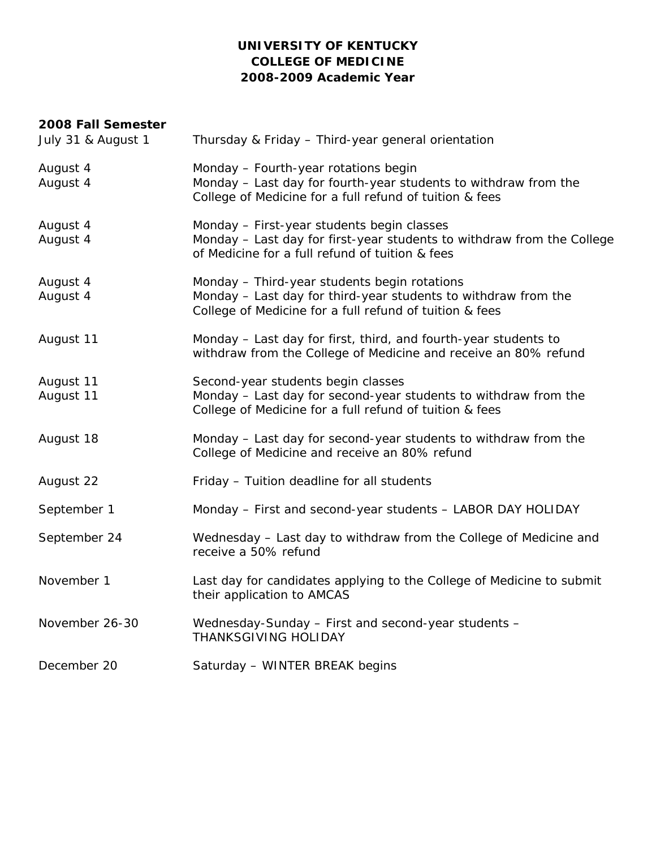### **UNIVERSITY OF KENTUCKY COLLEGE OF MEDICINE 2008-2009 Academic Year**

### **2008 Fall Semester**

| July 31 & August 1     | Thursday & Friday - Third-year general orientation                                                                                                                        |
|------------------------|---------------------------------------------------------------------------------------------------------------------------------------------------------------------------|
| August 4<br>August 4   | Monday - Fourth-year rotations begin<br>Monday - Last day for fourth-year students to withdraw from the<br>College of Medicine for a full refund of tuition & fees        |
| August 4<br>August 4   | Monday - First-year students begin classes<br>Monday - Last day for first-year students to withdraw from the College<br>of Medicine for a full refund of tuition & fees   |
| August 4<br>August 4   | Monday - Third-year students begin rotations<br>Monday - Last day for third-year students to withdraw from the<br>College of Medicine for a full refund of tuition & fees |
| August 11              | Monday - Last day for first, third, and fourth-year students to<br>withdraw from the College of Medicine and receive an 80% refund                                        |
| August 11<br>August 11 | Second-year students begin classes<br>Monday - Last day for second-year students to withdraw from the<br>College of Medicine for a full refund of tuition & fees          |
| August 18              | Monday - Last day for second-year students to withdraw from the<br>College of Medicine and receive an 80% refund                                                          |
| August 22              | Friday - Tuition deadline for all students                                                                                                                                |
| September 1            | Monday - First and second-year students - LABOR DAY HOLIDAY                                                                                                               |
| September 24           | Wednesday - Last day to withdraw from the College of Medicine and<br>receive a 50% refund                                                                                 |
| November 1             | Last day for candidates applying to the College of Medicine to submit<br>their application to AMCAS                                                                       |
| November 26-30         | Wednesday-Sunday - First and second-year students -<br><b>THANKSGIVING HOLIDAY</b>                                                                                        |
| December 20            | Saturday - WINTER BREAK begins                                                                                                                                            |
|                        |                                                                                                                                                                           |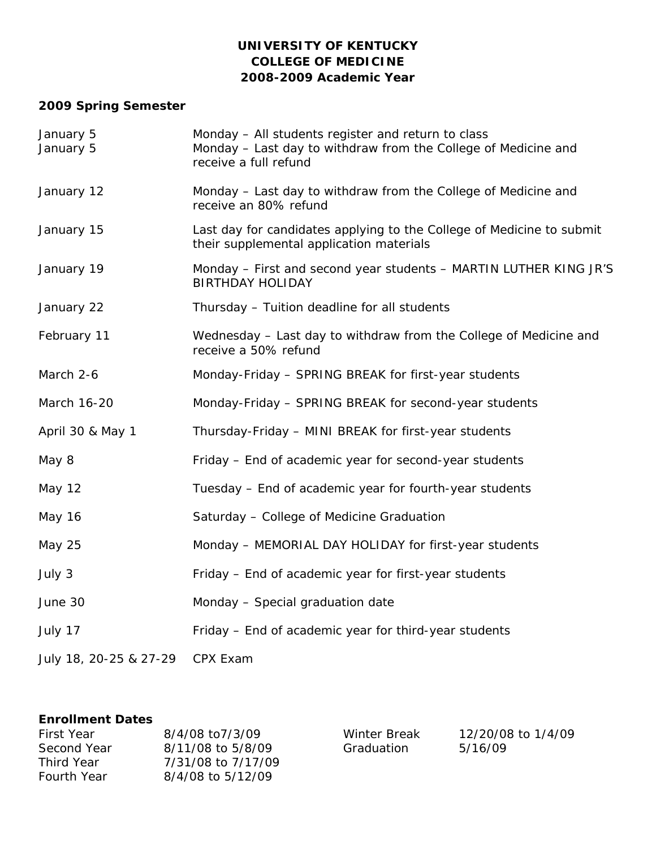## **UNIVERSITY OF KENTUCKY COLLEGE OF MEDICINE 2008-2009 Academic Year**

# **2009 Spring Semester**

| January 5<br>January 5 | Monday - All students register and return to class<br>Monday - Last day to withdraw from the College of Medicine and<br>receive a full refund |
|------------------------|-----------------------------------------------------------------------------------------------------------------------------------------------|
| January 12             | Monday - Last day to withdraw from the College of Medicine and<br>receive an 80% refund                                                       |
| January 15             | Last day for candidates applying to the College of Medicine to submit<br>their supplemental application materials                             |
| January 19             | Monday – First and second year students – MARTIN LUTHER KING JR'S<br><b>BIRTHDAY HOLIDAY</b>                                                  |
| January 22             | Thursday - Tuition deadline for all students                                                                                                  |
| February 11            | Wednesday - Last day to withdraw from the College of Medicine and<br>receive a 50% refund                                                     |
| March 2-6              | Monday-Friday - SPRING BREAK for first-year students                                                                                          |
| March 16-20            | Monday-Friday - SPRING BREAK for second-year students                                                                                         |
| April 30 & May 1       | Thursday-Friday - MINI BREAK for first-year students                                                                                          |
| May 8                  | Friday - End of academic year for second-year students                                                                                        |
| May 12                 | Tuesday - End of academic year for fourth-year students                                                                                       |
| May 16                 | Saturday - College of Medicine Graduation                                                                                                     |
| <b>May 25</b>          | Monday - MEMORIAL DAY HOLIDAY for first-year students                                                                                         |
| July 3                 | Friday - End of academic year for first-year students                                                                                         |
| June 30                | Monday - Special graduation date                                                                                                              |
| July 17                | Friday - End of academic year for third-year students                                                                                         |
| July 18, 20-25 & 27-29 | CPX Exam                                                                                                                                      |

### **Enrollment Dates**

| First Year         | 8/4/08 to 7/3/09   |
|--------------------|--------------------|
| Second Year        | 8/11/08 to 5/8/09  |
| Third Year         | 7/31/08 to 7/17/09 |
| <b>Fourth Year</b> | 8/4/08 to 5/12/09  |

Winter Break Graduation

12/20/08 to 1/4/09 5/16/09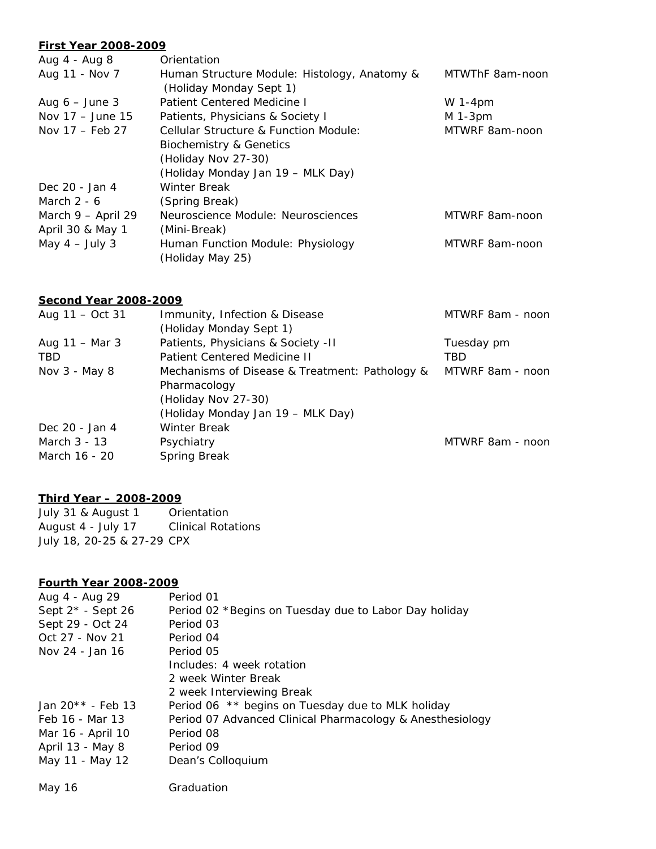#### **First Year 2008-2009**

| Aug 4 - Aug 8             | Orientation                                                             |                 |
|---------------------------|-------------------------------------------------------------------------|-----------------|
| Aug 11 - Nov 7            | Human Structure Module: Histology, Anatomy &<br>(Holiday Monday Sept 1) | MTWThF 8am-noon |
| Aug $6 -$ June 3          | Patient Centered Medicine I                                             | W 1-4 $pm$      |
| Nov 17 - June 15          | Patients, Physicians & Society I                                        | $M$ 1-3pm       |
| Nov $17 - \text{Feb } 27$ | <b>Cellular Structure &amp; Function Module:</b>                        | MTWRF 8am-noon  |
|                           | <b>Biochemistry &amp; Genetics</b>                                      |                 |
|                           | (Holiday Nov 27-30)                                                     |                 |
|                           | (Holiday Monday Jan 19 - MLK Day)                                       |                 |
| Dec 20 - Jan 4            | Winter Break                                                            |                 |
| March $2 - 6$             | (Spring Break)                                                          |                 |
| March 9 - April 29        | Neuroscience Module: Neurosciences                                      | MTWRF 8am-noon  |
| April 30 & May 1          | (Mini-Break)                                                            |                 |
| May $4 - July 3$          | Human Function Module: Physiology<br>(Holiday May 25)                   | MTWRF 8am-noon  |
|                           |                                                                         |                 |

### **Second Year 2008-2009**

| Aug $11 - Oct$ 31 | Immunity, Infection & Disease                  | MTWRF 8am - noon |
|-------------------|------------------------------------------------|------------------|
|                   | (Holiday Monday Sept 1)                        |                  |
| Aug 11 – Mar 3    | Patients, Physicians & Society -II             | Tuesday pm       |
| <b>TBD</b>        | <b>Patient Centered Medicine II</b>            | TBD              |
| Nov 3 - May 8     | Mechanisms of Disease & Treatment: Pathology & | MTWRF 8am - noon |
|                   | Pharmacology                                   |                  |
|                   | (Holiday Nov 27-30)                            |                  |
|                   | (Holiday Monday Jan 19 – MLK Day)              |                  |
| Dec 20 - Jan 4    | <b>Winter Break</b>                            |                  |
| March 3 - 13      | Psychiatry                                     | MTWRF 8am - noon |
| March 16 - 20     | Spring Break                                   |                  |
|                   |                                                |                  |

### **Third Year – 2008-2009**

July 31 & August 1 Orientation August 4 - July 17 Clinical Rotations July 18, 20-25 & 27-29 CPX

### **Fourth Year 2008-2009**

| Aug 4 - Aug 29                 | Period 01                                                 |
|--------------------------------|-----------------------------------------------------------|
| Sept $2^*$ - Sept 26           | Period 02 *Begins on Tuesday due to Labor Day holiday     |
| Sept 29 - Oct 24               | Period 03                                                 |
| Oct 27 - Nov 21                | Period 04                                                 |
| Nov 24 - Jan 16                | Period 05                                                 |
|                                | Includes: 4 week rotation                                 |
|                                | 2 week Winter Break                                       |
|                                | 2 week Interviewing Break                                 |
| Jan 20 <sup>*</sup> * - Feb 13 | Period 06 ** begins on Tuesday due to MLK holiday         |
| Feb 16 - Mar 13                | Period 07 Advanced Clinical Pharmacology & Anesthesiology |
| Mar 16 - April 10              | Period 08                                                 |
| April 13 - May 8               | Period 09                                                 |
| May 11 - May 12                | Dean's Colloquium                                         |
|                                |                                                           |

| May 16 | Graduation |
|--------|------------|
|        |            |